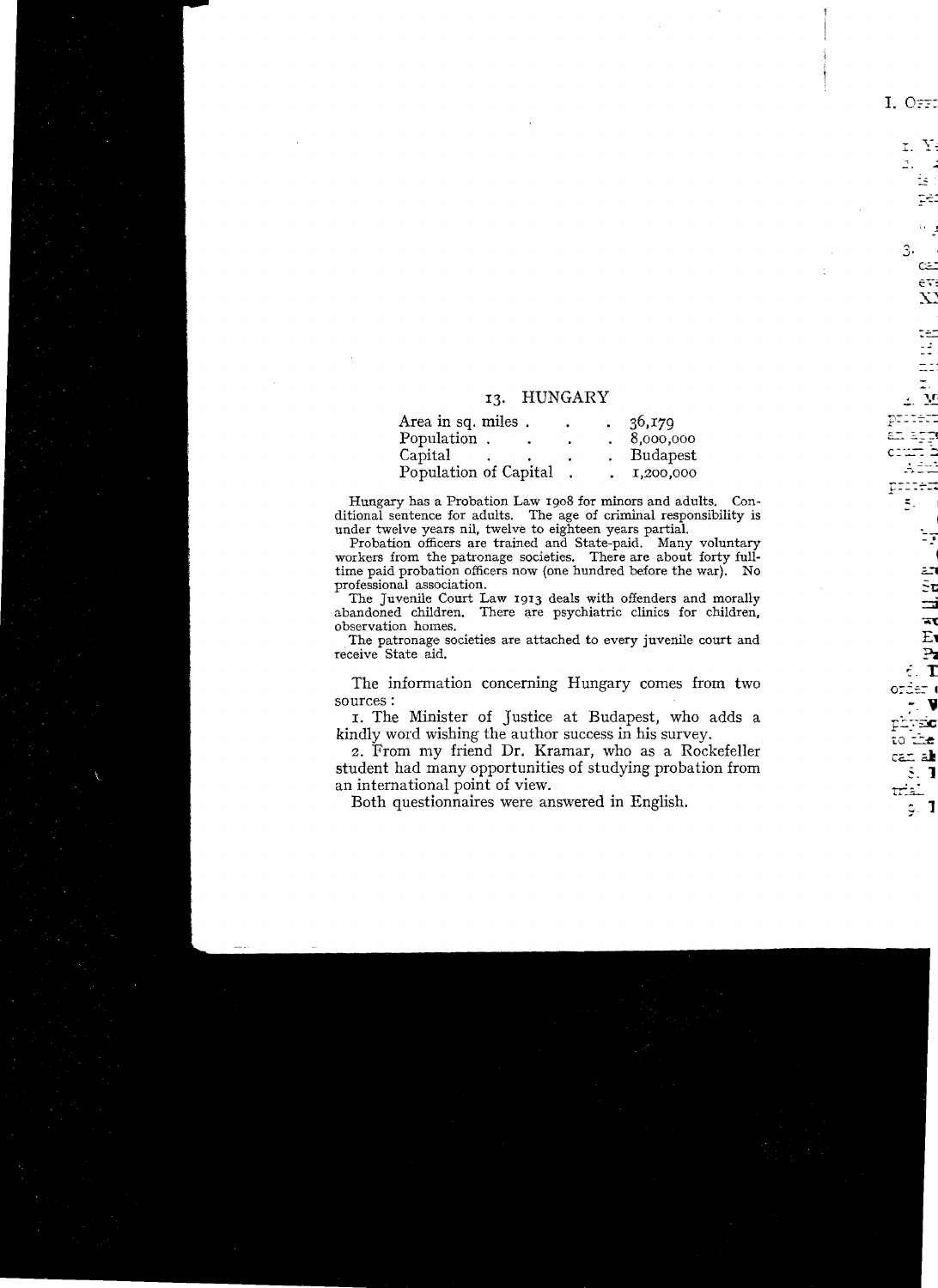## 13. HUNGARY

| Area in sq. miles.    |  | 36,179    |
|-----------------------|--|-----------|
| Population.           |  | 8,000,000 |
| Capital               |  | Budapest  |
| Population of Capital |  | 1,200,000 |

Hungary has a Probation Law 1908 for minors and adults. Conditional sentence for adults. The age of criminal responsibility is under twelve years nil, twelve to eighteen years partial.

Probation officers are trained and State-paid. Many voluntary workers from the patronage societies. There are about forty fulltime paid probation officers now (one hundred before the war). No professional association.

The Juvenile Court Law 1913 deals with offenders and morally abandoned children. There are psychiatric clinics for children. observation homes.

The patronage societies are attached to every juvenile court and receive State aid.

The information concerning Hungary comes from two sources:

I. The Minister of Justice at Budapest, who adds a kindly word wishing the author success in his survey.

2. From my friend Dr. Kramar, who as a Rockefeller student had many opportunities of studying probation from an international point of view.

Both questionnaires were answered in English.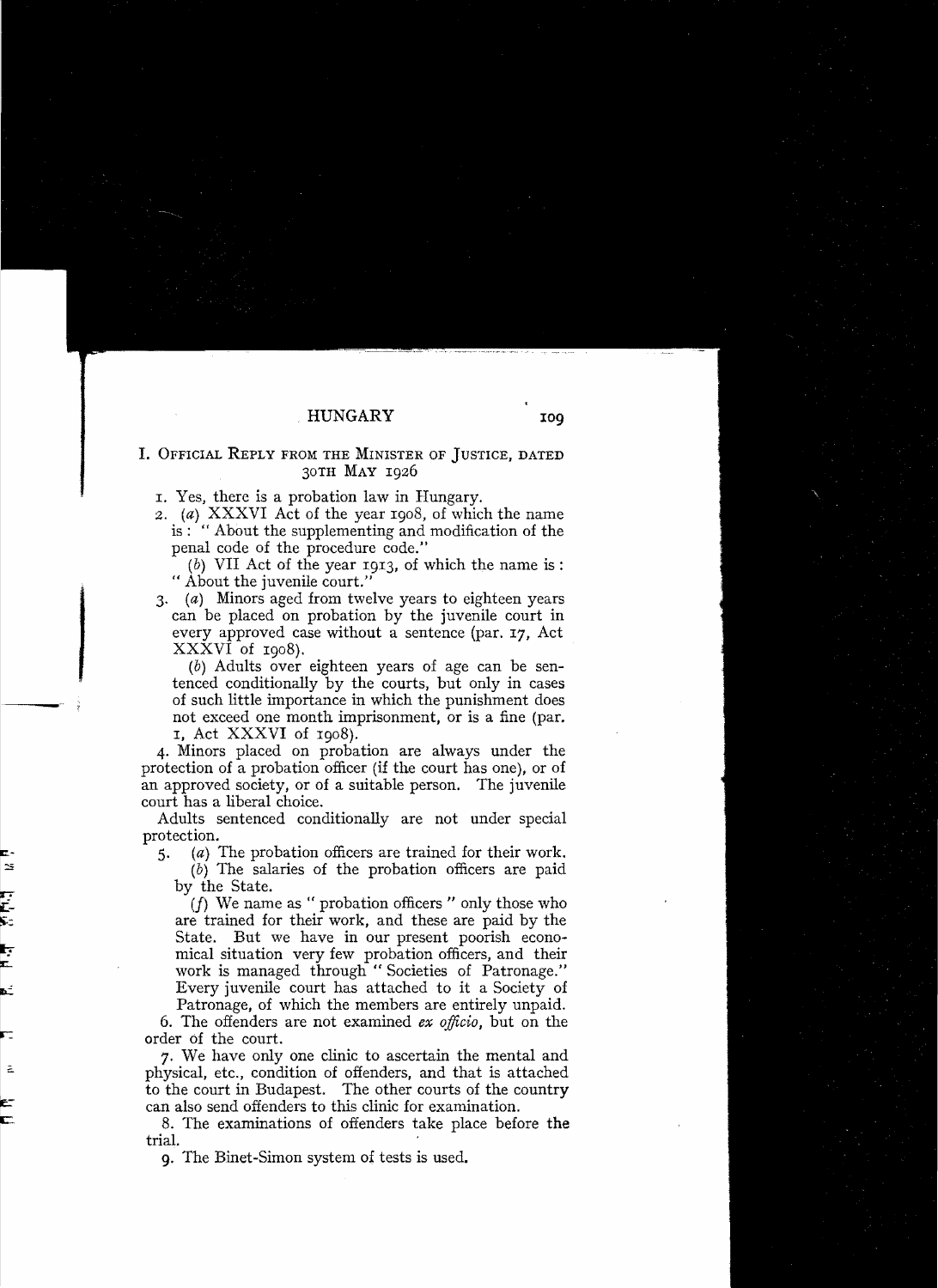## HUNGARY

## I. OFFICIAL REPLY FROM THE MINISTER OF JUSTICE, DATED 30TH MAY 1926

- I. Yes, there is a probation law in Hungary.
- *2.*  (a) XXXVI Act of the year 1908, of which the name is: "About the supplementing and modiflcation of the penal code of the procedure code."
	- $(b)$  VII Act of the year 1913, of which the name is: " About the juvenile court."
- *3.*  (a) Minors aged from twelve years to eighteen years can be placed on probation by the juvenile court in every approved case without a sentence (par. 17, Act XXXVI of 1908).

(b) Adults over eighteen years of age can be sentenced conditionaliy by the courts, but only in cases of such Uttle importance in which the punishment does not exceed one month imprisonment, or is a fine (par. I, Act XXXVI of 1908).

4. Minors placed on probation are always under the protection of a probation officer (if the court has one), or of an approved society, or of a suitable person. The juvenile court has a liberal choice.

Adults sentenced conditionally are not under special protection.

*5.* (a) The probation officers are trained for their work. (b) The salaries of the probation officers are paid by the State.

*(f)* We name as "probation officers " only those who are trained for their work, and these are paid by the State. But we have in our present poorish economical situation very few probation officers, and their work is managed through "Societies of Patronage." Every juvenile court has attached to it a Society of

Patronage, of which the members are entirely unpaid. 6. The offenders are not examined *ex officio,* but on the

order of the court.

7. We have only one clinic to ascertain the mental and physical, etc., condition of offenders, and that is attached to the court in Budapest. The other courts of the country can also send offenders to this clinic for examination.

8. The examinations of offenders take place befare the trial.

9. The Binet-Simon system of tests is used.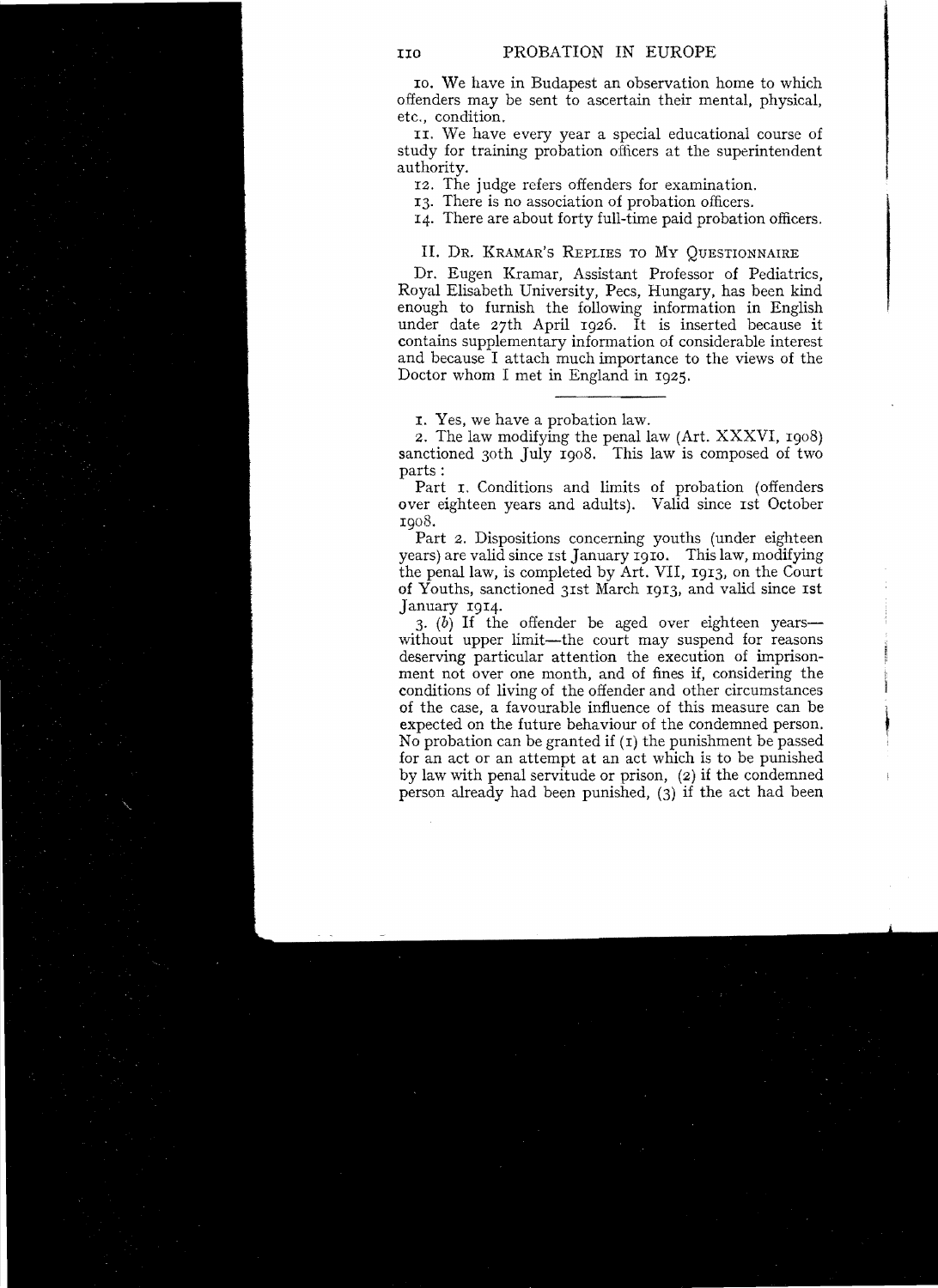10. We have in Budapest an observation home to which offenders may be sent to ascertain their mental, physical, etc., condition.

II. We have every year a special educational course of study for training probation oflicers at the superintendent authority.

12. The judge refers offenders for examination.

13. There is no association of probation ofncers.

14. There are about forty fuH-time paid probation officers.

II. DR. KRAMAR'S REPLIES TO MY QUESTIONNAIRE

Dr. Eugen Kramar, Assistant Professor of Pediatrics, Royal Elisabeth University, Pees, Hungary, has been kind enough to furnish the following information in English under date 27th April 1926. It is inserted because it contains supplementary information of considerable interest and because I attach much importance to the views of the Doctor whom I met in England in 1925.

I. Yes, we have a probation law.

2. The law modifying the penal law (Art. XXXVI, 1908) sanctioned 30th July 1908. This law is composed of two parts:

Part  $\tau$ . Conditions and limits of probation (offenders) over eighteen years and adults). Valid since Ist October

1908. Part 2. Dispositions concerning youths (under eighteen years) are valid since 1st January 1910. This law, modifying the penallaw, is completed by Art. VII, 1913, on the Court of Youths, sanctioned 31st March 1913, and valid since 1st January 1914.

 $3.$  (b) If the offender be aged over eighteen years without upper limit—the court may suspend for reasons deserving particular attention the execution of imprisonment not over one month, and of fines if, considering the conditions of living of the offender and other circumstances of the case, a favourable influence of this measure can be expected on the future behaviour of the cond conditions of living of the offender and other circumstances of the case, a favourable influence of this measure can be expected on the future behaviour of the condemned person. No probation can be granted if  $(I)$  the punishment be passed for an act or an attempt at an act which is to be punished by law with penal servitude or prison, (2) if the condemned person already had been punished, (3) if the act had been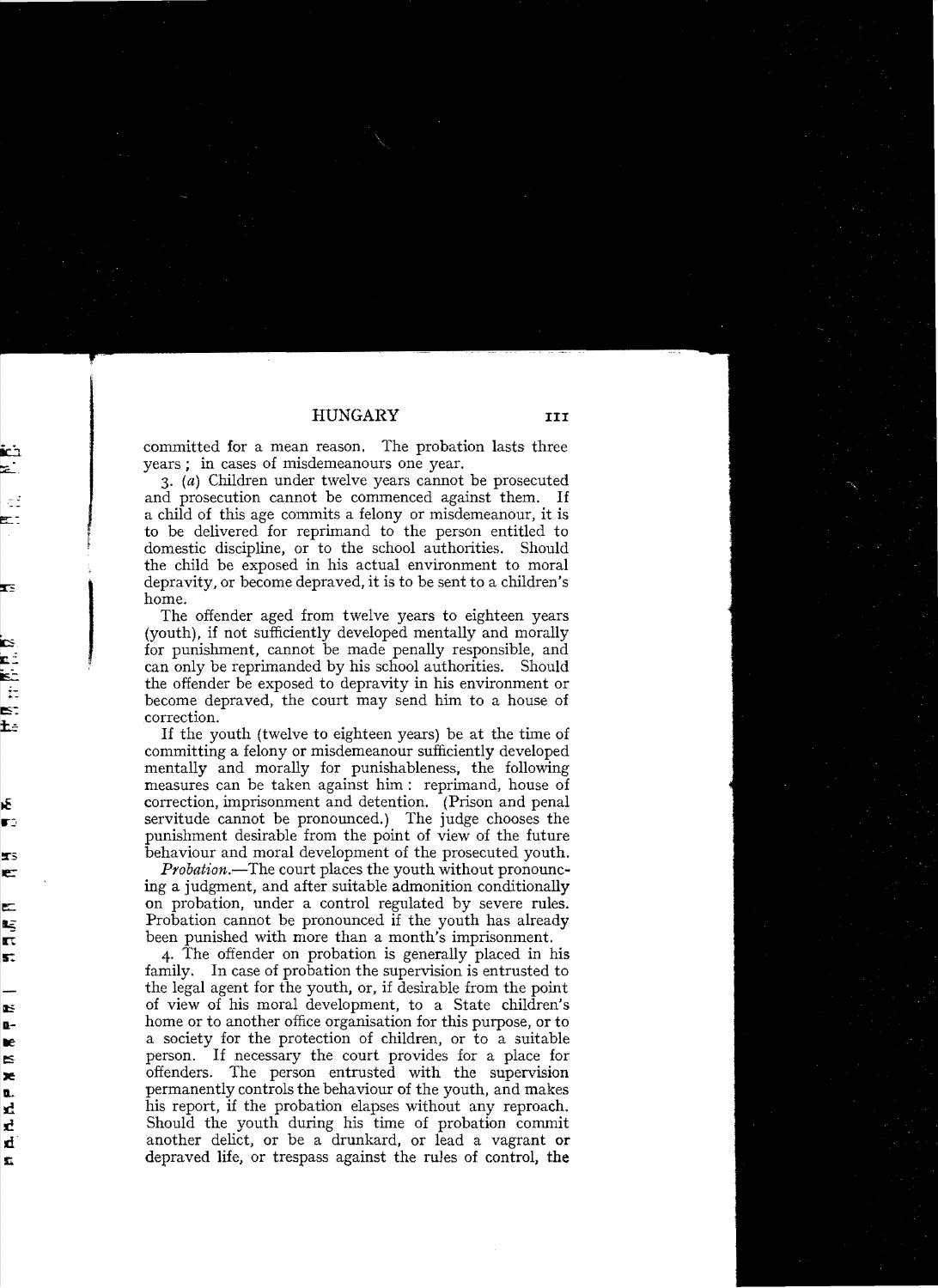committed for a mean reason. The probation lasts three years; in cases of misdemeanours one year.

*3.* (a) Children under twelve years cannot be prosecuted and prosecution cannot be commenced against them. If a child of this age commits a felony or misdemeanour, it is to be delivered for reprimand to the person entitled to domestic discipline, or to the school authorities. Should the child be exposed in his actual environment to moral depravity, or become deprayed, it is to be sent to a children's home.

depravity, or become depraved, it is to be sent to a children's<br>home.<br>The offender aged from twelve years to eighteen years<br>(youth), if not sufficiently developed mentally and morally<br>for punishment, cannot be made penally The offender aged from twelve years to eighteen years (youth), if not sufficiently developed mentally and morally<br>for punishment, cannot be made penally responsible, and<br>can only be reprimanded by his school authorities. Should<br>the offender be exposed to depravity in his envi become depraved, the court may send him to a house of correction.<br>If the youth (twelve to eighteen years) be at the time of

committing a felony or misdemeanour sufficiently developed mentally and morally for punishableness. the following measures can be taken against him: reprimand, house of correction, imprisonment and detention. (Prison and penal servitude cannot be pronounced.) The judge chooses the punishment desirable from the point of view of the future behaviour and moral development of the prosecuted youth.

*Probation.*—The court places the youth without pronouncing a judgment, and after suitable admonition conditionally on probation, under a control regulated by severe rules. Probation cannot be pronounced if the youth has already been punished with more than a month's imprisonment.

4. The offender on probation is generally placed in his family. In case of probation the supervision is entrusted to the legal agent for the youth, or, if desirable from the point of view of his moral development, to a State children's home or to another office organisation for this purpose, or to a society for the protection of children, or to a suitable person. If necessary the court provides for a place for offenders. The person entrusted with the supervision permanently controls the behaviour of the youth, and makes his report, if the probation elapses without any reproach. Should the youth during his time of probation commit another delict, or be a drunkard, or lead a vagrant or depraved life, or trespass against the rules of control, the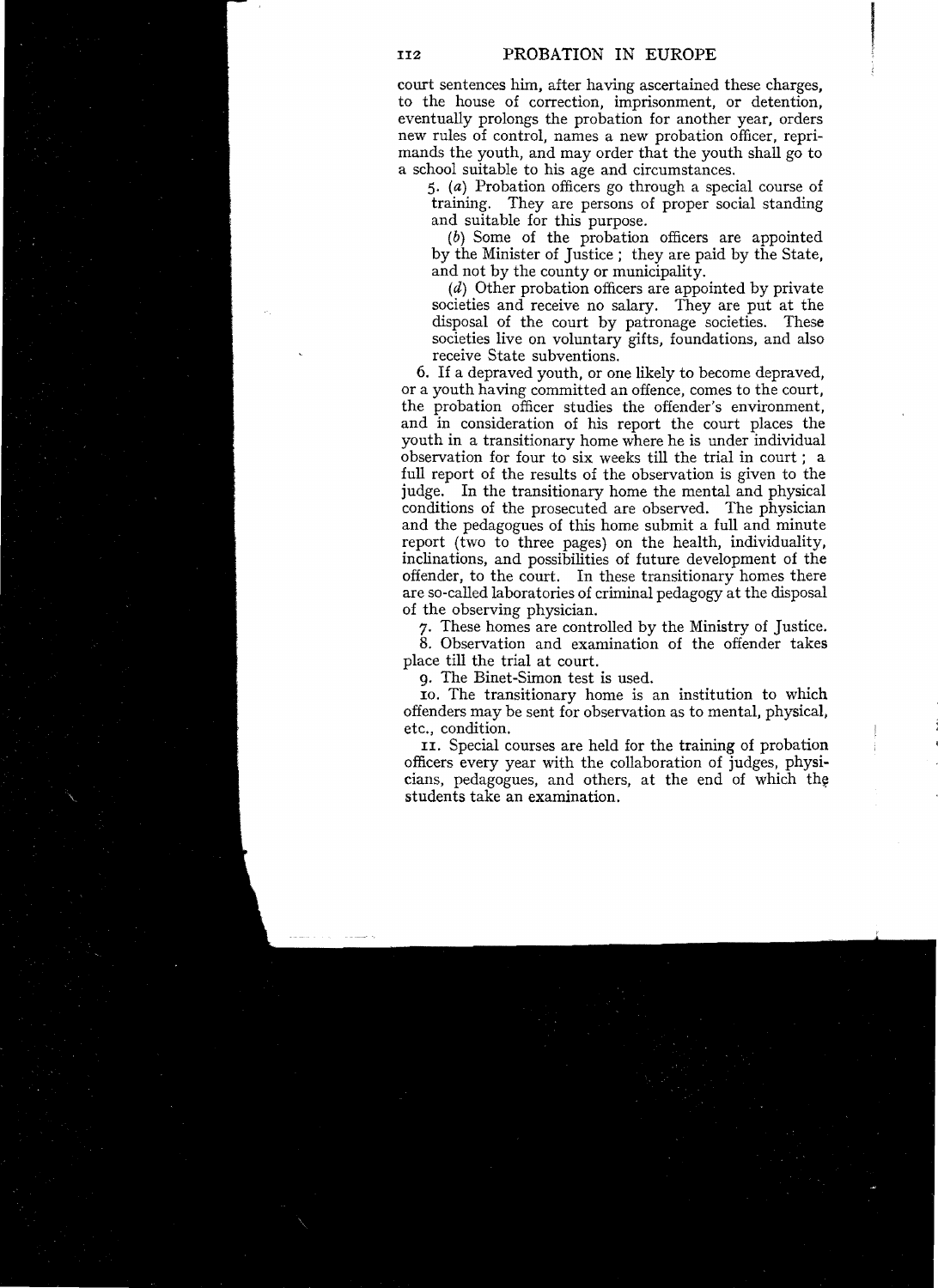court sentences him, after having ascertained these charges, to the house of correction, imprisonment, or detention, eventually prolongs the probation for another year, orders new rules of control, names a new probation officer, reprimands the youth, and mayorder that the youth shaIl go to a school suitable to his age and circumstances.

*5.*  (a) Probation officers go through a special course of training. They are persons of proper social standing and suitable for this purpose.

(b) Some of the probation officers are appointed by the Minister of Justice; they are paid by the State, and not by the county or municipality.

 $(d)$  Other probation officers are appointed by private societies and receive no salary. They are put at the disposal of the court by patronage societies. These societies live on voluntary gifts, foundations, and also receive State subventions.

6. If a depraved youth, or one likely to become depraved, or a youth having committed an offence, comes to the court, the probation officer studies the offender's environment, and in consideration of his report the court places the youth in a transitionary home where he is under individual observation for four to six weeks till the trial in court; a full report of the results of the observation is given to the judge. In the transitionary home the mental and physical conditions of the prosecuted are observed. The physician and the pedagogues of this home submit a full and minute report (two to three pages) on the health, individuality, inclinations, and possibilities of future development of the offender, to the court. In these transitionary homes there are so-caIled laboratories of criminal pedagogy at the disposal of the observing physician.

7. These homes are controlled by the Ministry of Justice.

8. Observation and examination of the offender takes place till the trial at court.

9. The Binet-Simon test is used.

10. The transitionary home is an institution to which offenders may be sent for observation as to mental, physical, etc., condition.

II. Special courses are held for the training of probation officers every year with the coIlaboration of judges, physicians, pedagogues, and others, at the end of which the students take an examination.